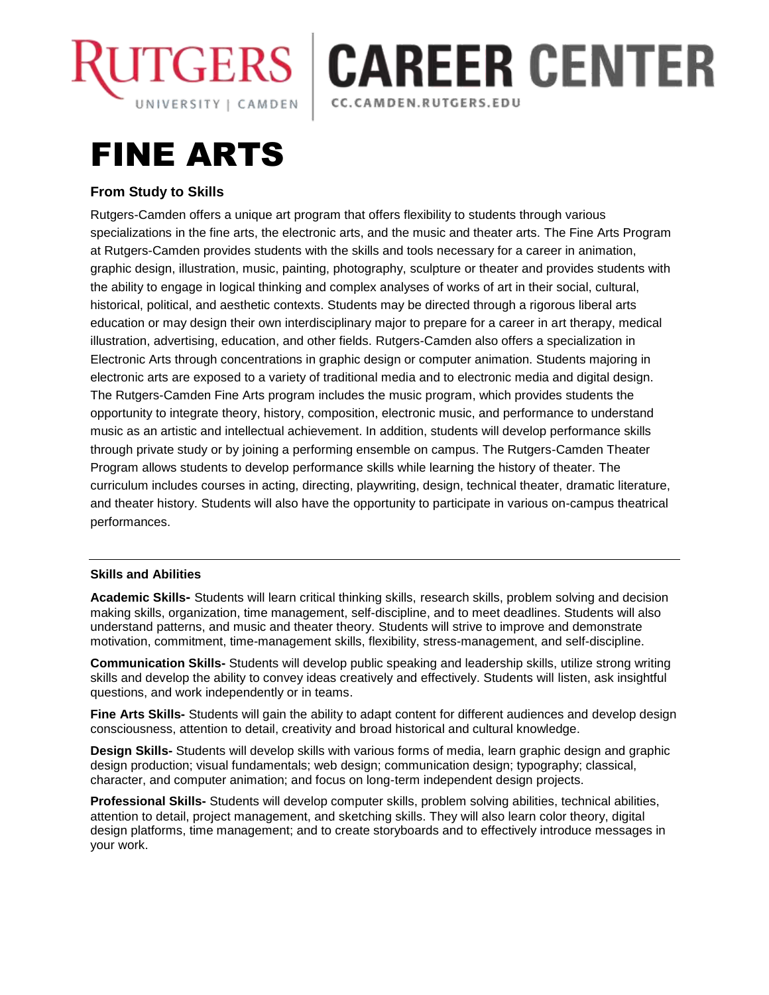



# FINE ARTS

## **From Study to Skills**

Rutgers-Camden offers a unique art program that offers flexibility to students through various specializations in the fine arts, the electronic arts, and the music and theater arts. The Fine Arts Program at Rutgers-Camden provides students with the skills and tools necessary for a career in animation, graphic design, illustration, music, painting, photography, sculpture or theater and provides students with the ability to engage in logical thinking and complex analyses of works of art in their social, cultural, historical, political, and aesthetic contexts. Students may be directed through a rigorous liberal arts education or may design their own interdisciplinary major to prepare for a career in art therapy, medical illustration, advertising, education, and other fields. Rutgers-Camden also offers a specialization in Electronic Arts through concentrations in graphic design or computer animation. Students majoring in electronic arts are exposed to a variety of traditional media and to electronic media and digital design. The Rutgers-Camden Fine Arts program includes the music program, which provides students the opportunity to integrate theory, history, composition, electronic music, and performance to understand music as an artistic and intellectual achievement. In addition, students will develop performance skills through private study or by joining a performing ensemble on campus. The Rutgers-Camden Theater Program allows students to develop performance skills while learning the history of theater. The curriculum includes courses in acting, directing, playwriting, design, technical theater, dramatic literature, and theater history. Students will also have the opportunity to participate in various on-campus theatrical performances.

### **Skills and Abilities**

**Academic Skills-** Students will learn critical thinking skills, research skills, problem solving and decision making skills, organization, time management, self-discipline, and to meet deadlines. Students will also understand patterns, and music and theater theory. Students will strive to improve and demonstrate motivation, commitment, time-management skills, flexibility, stress-management, and self-discipline.

**Communication Skills-** Students will develop public speaking and leadership skills, utilize strong writing skills and develop the ability to convey ideas creatively and effectively. Students will listen, ask insightful questions, and work independently or in teams.

**Fine Arts Skills-** Students will gain the ability to adapt content for different audiences and develop design consciousness, attention to detail, creativity and broad historical and cultural knowledge.

**Design Skills-** Students will develop skills with various forms of media, learn graphic design and graphic design production; visual fundamentals; web design; communication design; typography; classical, character, and computer animation; and focus on long-term independent design projects.

**Professional Skills-** Students will develop computer skills, problem solving abilities, technical abilities, attention to detail, project management, and sketching skills. They will also learn color theory, digital design platforms, time management; and to create storyboards and to effectively introduce messages in your work.